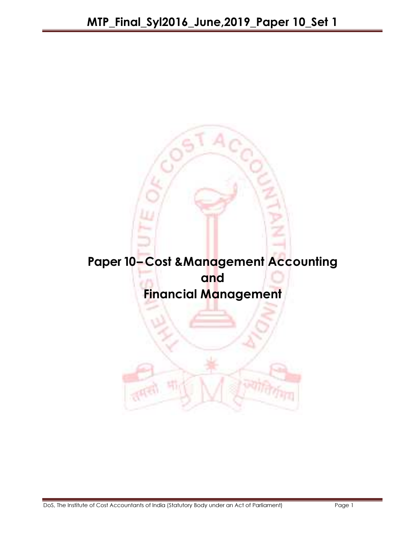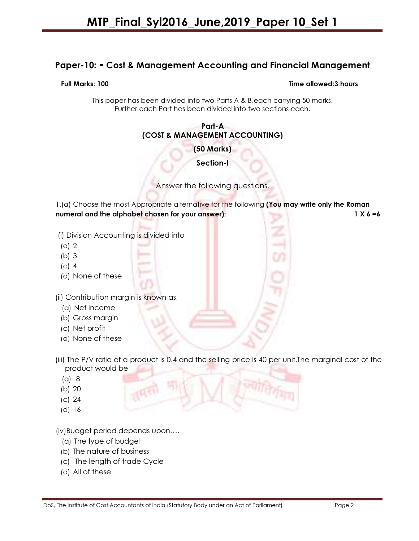# Paper-10: - Cost & Management Accounting and Financial Management

### Full Marks: 100 Time allowed:3 hours

This paper has been divided into two Parts A & B,each carrying 50 marks. Further each Part has been divided into two sections each.

### Part-A (COST & MANAGEMENT ACCOUNTING)

(50 Marks)

Section-I

Answer the following questions.

1.(a) Choose the most Appropriate alternative for the following (You may write only the Roman numeral and the alphabet chosen for your answer); 1 X 6 =6

(i) Division Accounting is divided into

- (a) 2
- (b) 3
- (c) 4
- (d) None of these

(ii) Contribution margin is known as,

- (a) Net income
- (b) Gross margin
- (c) Net profit
- (d) None of these
- (iii) The P/V ratio of a product is 0.4 and the selling price is 40 per unit. The marginal cost of the product would be
	- (a) 8
	- (b) 20
	- (c) 24
	- (d) 16

(iv)Budget period depends upon….

- (a) The type of budget
- (b) The nature of business
- (c) The length of trade Cycle
- (d) All of these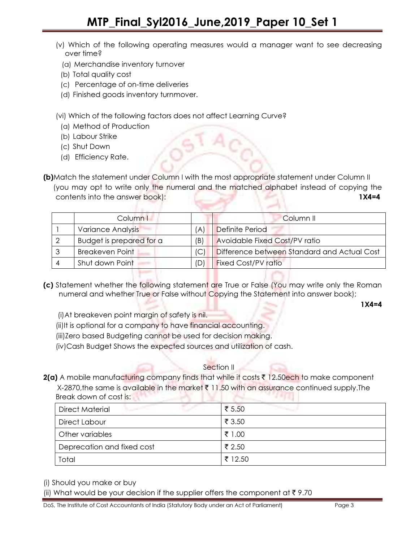- (v) Which of the following operating measures would a manager want to see decreasing over time?
	- (a) Merchandise inventory turnover
- (b) Total quality cost
- (c) Percentage of on-time deliveries
- (d) Finished goods inventory turnmover.

(vi) Which of the following factors does not affect Learning Curve?

- (a) Method of Production
- (b) Labour Strike
- (c) Shut Down
- (d) Efficiency Rate.

(b)Match the statement under Column I with the most appropriate statement under Column II (you may opt to write only the numeral and the matched alphabet instead of copying the contents into the answer book): 1X4=4

| Column I                 |     | Column <sub>II</sub>                        |
|--------------------------|-----|---------------------------------------------|
| Variance Analysis        | A'  | Definite Period                             |
| Budget is prepared for a | (B) | Avoidable Fixed Cost/PV ratio               |
| <b>Breakeven Point</b>   | IС  | Difference between Standard and Actual Cost |
| Shut down Point          |     | <b>Fixed Cost/PV ratio</b>                  |

(c) Statement whether the following statement are True or False (You may write only the Roman numeral and whether True or False without Copying the Statement into answer book);

1X4=4

- (i)At breakeven point margin of safety is nil.
- (ii)It is optional for a company to have financial accounting.
- (iii)Zero based Budgeting cannot be used for decision making.
- (iv)Cash Budget Shows the expected sources and utilization of cash.

### Section II

 $2(a)$  A mobile manufacturing company finds that while it costs  $\bar{\tau}$  12.50ech to make component

 $X-2870$ , the same is available in the market  $\bar{\tau}$  11.50 with an assurance continued supply. The Break down of cost is:

| <b>Direct Material</b><br>The property of the | ₹ 5.50<br><b>Contract Contract Contract</b> |
|-----------------------------------------------|---------------------------------------------|
| Direct Labour                                 | ₹ 3.50                                      |
| Other variables                               | ₹ 1.00                                      |
| Deprecation and fixed cost                    | ₹ 2.50                                      |
| Total                                         | ₹ 12.50                                     |

(i) Should you make or buy

(ii) What would be your decision if the supplier offers the component at  $\bar{\tau}$  9.70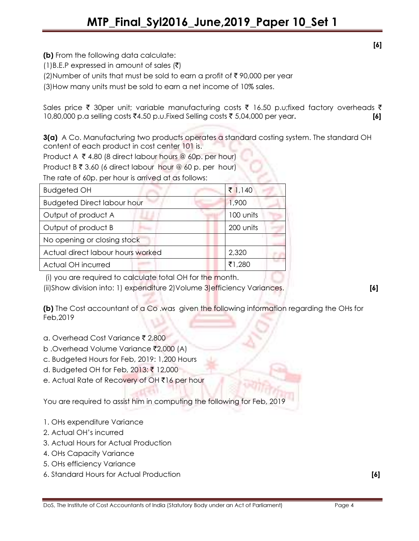(b) From the following data calculate:

 $(1)$ B.E.P expressed in amount of sales  $(\bar{\zeta})$ 

(2) Number of units that must be sold to earn a profit of  $\bar{\tau}$  90,000 per year

(3)How many units must be sold to earn a net income of 10% sales.

Sales price  $\bar{\tau}$  30per unit; variable manufacturing costs  $\bar{\tau}$  16.50 p.u;fixed factory overheads  $\bar{\tau}$ 10,80,000 p.a selling costs ₹4.50 p.u.Fixed Selling costs ₹5,04,000 per year.  $[6]$ 

3(a) A Co. Manufacturing two products operates a standard costing system. The standard OH content of each product in cost center 101 is.

Product A  $\bar{\tau}$  4.80 (8 direct labour hours @ 60p. per hour)

Product B  $\bar{\tau}$  3.60 (6 direct labour hour @ 60 p. per hour)

The rate of 60p. per hour is arrived at as follows:

| <b>Budgeted OH</b>                 | ₹ $1,140$ |
|------------------------------------|-----------|
| <b>Budgeted Direct labour hour</b> | 1,900     |
| Output of product A                | 100 units |
| Output of product B                | 200 units |
| No opening or closing stock        |           |
| Actual direct labour hours worked  | 2,320     |
| Actual OH incurred                 | ₹1,280    |

(i) you are required to calculate total OH for the month.

(ii)Show division into: 1) expenditure 2)Volume 3)efficiency Variances. [6]

(b) The Cost accountant of a Co .was given the following information regarding the OHs for Feb,2019

- a. Overhead Cost Variance ₹ 2,800
- b .Overhead Volume Variance ₹2,000 (A)
- c. Budgeted Hours for Feb, 2019: 1,200 Hours
- d. Budgeted OH for Feb, 2013: ₹ 12,000
- e. Actual Rate of Recovery of OH ₹16 per hour

You are required to assist him in computing the following for Feb, 2019

- 1. OHs expenditure Variance
- 2. Actual OH's incurred
- 3. Actual Hours for Actual Production
- 4. OHs Capacity Variance
- 5. OHs efficiency Variance
- 6. Standard Hours for Actual Production [6]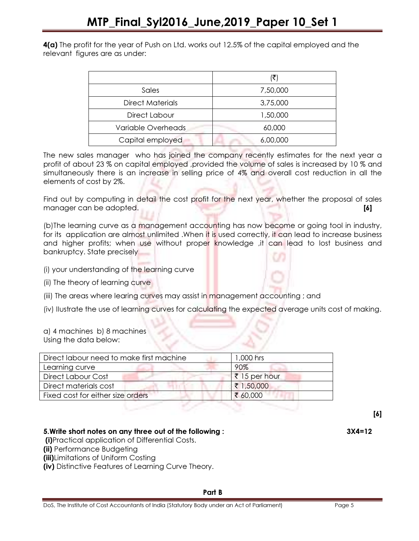4(a) The profit for the year of Push on Ltd. works out 12.5% of the capital employed and the relevant figures are as under:

|                         | (₹)      |
|-------------------------|----------|
| Sales                   | 7,50,000 |
| <b>Direct Materials</b> | 3,75,000 |
| Direct Labour           | 1,50,000 |
| Variable Overheads      | 60,000   |
| Capital employed        | 6,00,000 |

The new sales manager who has joined the company recently estimates for the next year a profit of about 23 % on capital employed ,provided the volume of sales is increased by 10 % and simultaneously there is an increase in selling price of 4% and overall cost reduction in all the elements of cost by 2%.

Find out by computing in detail the cost profit for the next year, whether the proposal of sales manager can be adopted. **[6] If the about the contract of the contract of the contract of the contract of the contract of the contract of the contract of the contract of the contract of the contract of the contract of th** 

(b)The learning curve as a management accounting has now become or going tool in industry, for its application are almost unlimited .When it is used correctly, it can lead to increase business and higher profits; when use without proper knowledge ,it can lead to lost business and bankruptcy. State precisely

- (i) your understanding of the learning curve
- (ii) The theory of learning curve
- (iii) The areas where learing curves may assist in management accounting ; and

(iv) IIustrate the use of learning curves for calculating the expected average units cost of making.

a) 4 machines b) 8 machines Using the data below:

| Direct labour need to make first machine | 1,000 hrs             |
|------------------------------------------|-----------------------|
| Learning curve                           | 90%                   |
| <b>Direct Labour Cost</b>                | $\bar{z}$ 15 per hour |
| Direct materials cost                    | ₹ 1,50,000            |
| Fixed cost for either size orders        | ₹ 60,000              |

[6]

# 5.Write short notes on any three out of the following : 3X4=12

(i)Practical application of Differential Costs.

(ii) Performance Budgeting

(iii)Limitations of Uniform Costing

(iv) Distinctive Features of Learning Curve Theory.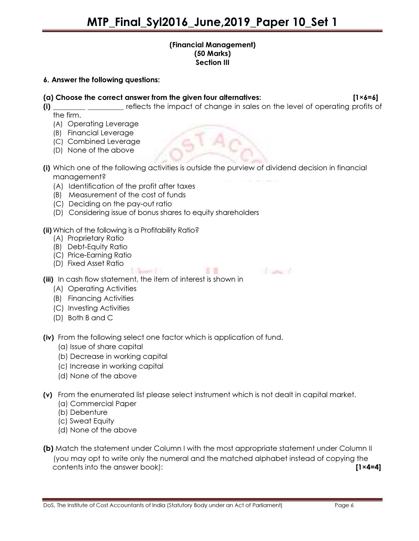### (Financial Management) (50 Marks) Section III

### 6. Answer the following questions:

(a) Choose the correct answer from the given four alternatives:  $[1 \times 6 = 6]$ 

- (i) \_\_\_\_\_\_\_\_\_\_\_\_\_\_\_\_\_\_\_\_\_ reflects the impact of change in sales on the level of operating profits of the firm.
	- (A) Operating Leverage
	- (B) Financial Leverage
	- (C) Combined Leverage
	- (D) None of the above
- (i) Which one of the following activities is outside the purview of dividend decision in financial management?
	- (A) Identification of the profit after taxes
	- (B) Measurement of the cost of funds
	- (C) Deciding on the pay-out ratio
	- (D) Considering issue of bonus shares to equity shareholders
- (ii) Which of the following is a Profitability Ratio?
	- (A) Proprietary Ratio
	- (B) Debt-Equity Ratio
	- (C) Price-Earning Ratio
	- (D) Fixed Asset Ratio

**Contractor** 

**TELEVISION** 

(iii) In cash flow statement, the item of interest is shown in

**Sunday of Con-**

- (A) Operating Activities
- (B) Financing Activities
- (C) Investing Activities
- (D) Both B and C

(iv) From the following select one factor which is application of fund.

- (a) Issue of share capital
- (b) Decrease in working capital
- (c) Increase in working capital
- (d) None of the above
- (v) From the enumerated list please select instrument which is not dealt in capital market.
	- (a) Commercial Paper
	- (b) Debenture
	- (c) Sweat Equity
	- (d) None of the above
- (b) Match the statement under Column I with the most appropriate statement under Column II (you may opt to write only the numeral and the matched alphabet instead of copying the contents into the answer book): [1×4=4]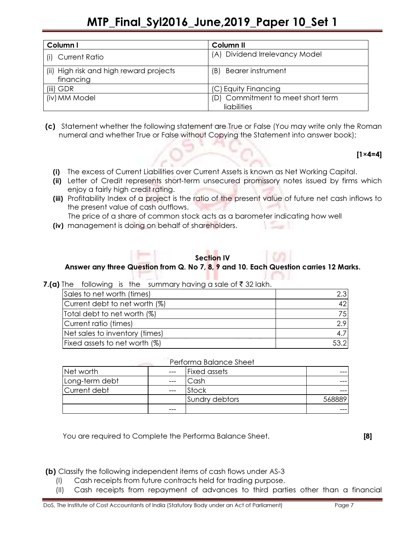# MTP\_Final\_Syl2016\_June,2019\_Paper 10\_Set 1

| Column I                                             | Column <sub>II</sub>                             |  |
|------------------------------------------------------|--------------------------------------------------|--|
| <b>Current Ratio</b>                                 | (A) Dividend Irrelevancy Model                   |  |
| (ii) High risk and high reward projects<br>financing | <b>Bearer instrument</b><br>(B)                  |  |
| $(iii)$ GDR                                          | (C) Equity Financing                             |  |
| (iv) MM Model                                        | (D) Commitment to meet short term<br>liabilities |  |

 (c) Statement whether the following statement are True or False (You may write only the Roman numeral and whether True or False without Copying the Statement into answer book);

### [1×4=4]

- (i) The excess of Current Liabilities over Current Assets is known as Net Working Capital.
- (ii) Letter of Credit represents short-term unsecured promissory notes issued by firms which enjoy a fairly high credit rating.
- (iii) Profitability Index of a project is the ratio of the present value of future net cash inflows to the present value of cash outflows.

The price of a share of common stock acts as a barometer indicating how well

(iv) management is doing on behalf of shareholders.

## Section IV

# Answer any three Question from Q. No 7, 8, 9 and 10. Each Question carries 12 Marks.

### 7.(a) The following is the summary having a sale of  $\bar{z}$  32 lakh.

| Sales to net worth (times)     | 2.3              |
|--------------------------------|------------------|
| Current debt to net worth (%)  | 42               |
| Total debt to net worth (%)    | 751              |
| Current ratio (times)          | 2.9              |
| Net sales to inventory (times) | 4.7 <sup>1</sup> |
| Fixed assets to net worth (%)  | 53.2             |

### Performa Balance Sheet

| Net worth      | $---$ | <b>Fixed assets</b> |  |
|----------------|-------|---------------------|--|
| Long-term debt | ---   | Cash:               |  |
| Current debt   | ---   | Stock               |  |
|                |       | Sundry debtors      |  |
|                | ---   |                     |  |

You are required to Complete the Performa Balance Sheet. **[8]** [8]

(b) Classify the following independent items of cash flows under AS-3

- (I) Cash receipts from future contracts held for trading purpose.
- (II) Cash receipts from repayment of advances to third parties other than a financial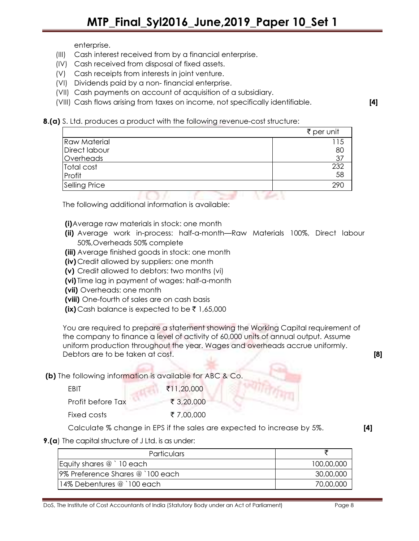enterprise.

- (III) Cash interest received from by a financial enterprise.
- (IV) Cash received from disposal of fixed assets.
- (V) Cash receipts from interests in joint venture.
- (VI) Dividends paid by a non- financial enterprise.
- (VII) Cash payments on account of acquisition of a subsidiary.
- (VIII) Cash flows arising from taxes on income, not specifically identifiable. [4]
- 8.(a) S. Ltd. produces a product with the following revenue-cost structure:

|                     |  | ₹ per unit |
|---------------------|--|------------|
| <b>Raw Material</b> |  | l 15       |
| Direct labour       |  | 80         |
| Overheads           |  | 37         |
| Total cost          |  | 232        |
| Profit              |  | 58         |
| Selling Price       |  | 290        |
|                     |  |            |

The following additional information is available:

- (i)Average raw materials in stock: one month
- (ii) Average work in-process: half-a-month—Raw Materials 100%, Direct labour 50%,Overheads 50% complete
- (iii) Average finished goods in stock: one month
- (iv) Credit allowed by suppliers: one month
- (v) Credit allowed to debtors: two months (vi)
- (vi) Time lag in payment of wages: half-a-month
- (vii) Overheads: one month
- (viii) One-fourth of sales are on cash basis
- (ix) Cash balance is expected to be  $\bar{\tau}$  1,65,000

You are required to prepare a statement showing the Working Capital requirement of the company to finance a level of activity of 60,000 units of annual output. Assume uniform production throughout the year. Wages and overheads accrue uniformly. Debtors are to be taken at cost.

(b) The following information is available for ABC & Co.

| FRIT              | ₹11,20,000 |
|-------------------|------------|
| Profit before Tax | ₹ 3,20,000 |
| Fixed costs       | ₹ 7,00,000 |

Calculate % change in EPS if the sales are expected to increase by 5%. [4]

**9.(a)** The capital structure of J Ltd. is as under:

| <b>Particulars</b>               |            |
|----------------------------------|------------|
| Equity shares @ `10 each         | 100,00,000 |
| 9% Preference Shares @ `100 each | 30,00,000  |
| 14% Debentures @ `100 each       | 70,00,000  |